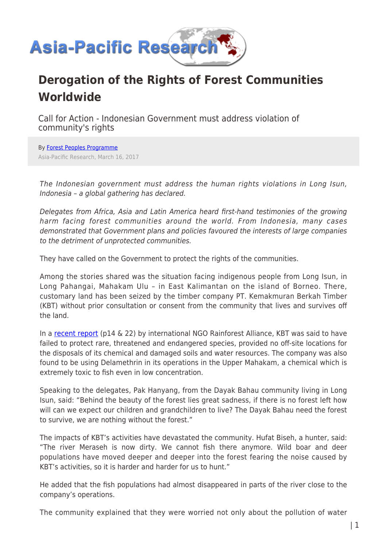

## **Derogation of the Rights of Forest Communities Worldwide**

Call for Action - Indonesian Government must address violation of community's rights

By [Forest Peoples Programme](https://www.asia-pacificresearch.com/author/forest-peoples-programme) Asia-Pacific Research, March 16, 2017

The Indonesian government must address the human rights violations in Long Isun, Indonesia – a global gathering has declared.

Delegates from Africa, Asia and Latin America heard first-hand testimonies of the growing harm facing forest communities around the world. From Indonesia, many cases demonstrated that Government plans and policies favoured the interests of large companies to the detriment of unprotected communities.

They have called on the Government to protect the rights of the communities.

Among the stories shared was the situation facing indigenous people from Long Isun, in Long Pahangai, Mahakam Ulu – in East Kalimantan on the island of Borneo. There, customary land has been seized by the timber company PT. Kemakmuran Berkah Timber (KBT) without prior consultation or consent from the community that lives and survives off the land.

In a [recent report](http://contacts.forestpeoples.org/sites/contacts.forestpeoples.org/modules/civicrm/extern/url.php?u=19550&qid=932510) (p14 & 22) by international NGO Rainforest Alliance, KBT was said to have failed to protect rare, threatened and endangered species, provided no off-site locations for the disposals of its chemical and damaged soils and water resources. The company was also found to be using Delamethrin in its operations in the Upper Mahakam, a chemical which is extremely toxic to fish even in low concentration.

Speaking to the delegates, Pak Hanyang, from the Dayak Bahau community living in Long Isun, said: "Behind the beauty of the forest lies great sadness, if there is no forest left how will can we expect our children and grandchildren to live? The Dayak Bahau need the forest to survive, we are nothing without the forest."

The impacts of KBT's activities have devastated the community. Hufat Biseh, a hunter, said: "The river Meraseh is now dirty. We cannot fish there anymore. Wild boar and deer populations have moved deeper and deeper into the forest fearing the noise caused by KBT's activities, so it is harder and harder for us to hunt."

He added that the fish populations had almost disappeared in parts of the river close to the company's operations.

The community explained that they were worried not only about the pollution of water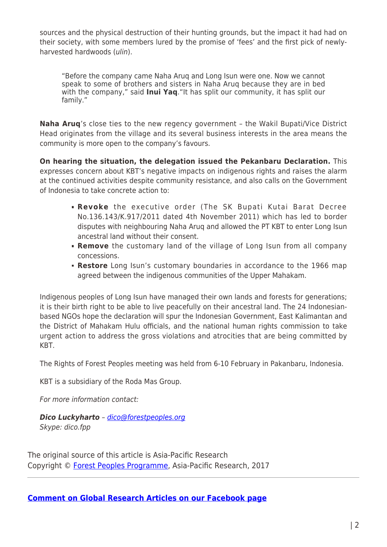sources and the physical destruction of their hunting grounds, but the impact it had had on their society, with some members lured by the promise of 'fees' and the first pick of newlyharvested hardwoods (ulin).

"Before the company came Naha Aruq and Long Isun were one. Now we cannot speak to some of brothers and sisters in Naha Aruq because they are in bed with the company," said **Inui Yaq**."It has split our community, it has split our family."

**Naha Aruq**'s close ties to the new regency government – the Wakil Bupati/Vice District Head originates from the village and its several business interests in the area means the community is more open to the company's favours.

**On hearing the situation, the delegation issued the Pekanbaru Declaration.** This expresses concern about KBT's negative impacts on indigenous rights and raises the alarm at the continued activities despite community resistance, and also calls on the Government of Indonesia to take concrete action to:

- **Revoke** the executive order (The SK Bupati Kutai Barat Decree No.136.143/K.917/2011 dated 4th November 2011) which has led to border disputes with neighbouring Naha Aruq and allowed the PT KBT to enter Long Isun ancestral land without their consent.
- **Remove** the customary land of the village of Long Isun from all company concessions.
- **Restore** Long Isun's customary boundaries in accordance to the 1966 map agreed between the indigenous communities of the Upper Mahakam.

Indigenous peoples of Long Isun have managed their own lands and forests for generations; it is their birth right to be able to live peacefully on their ancestral land. The 24 Indonesianbased NGOs hope the declaration will spur the Indonesian Government, East Kalimantan and the District of Mahakam Hulu officials, and the national human rights commission to take urgent action to address the gross violations and atrocities that are being committed by KBT.

The Rights of Forest Peoples meeting was held from 6-10 February in Pakanbaru, Indonesia.

KBT is a subsidiary of the Roda Mas Group.

For more information contact:

*Dico Luckyharto* – [dico@forestpeoples.org](mailto:dico@forestpeoples.org) Skype: dico.fpp

The original source of this article is Asia-Pacific Research Copyright © [Forest Peoples Programme,](https://www.asia-pacificresearch.com/author/forest-peoples-programme) Asia-Pacific Research, 2017

**[Comment on Global Research Articles on our Facebook page](https://www.facebook.com/GlobalResearchCRG)**